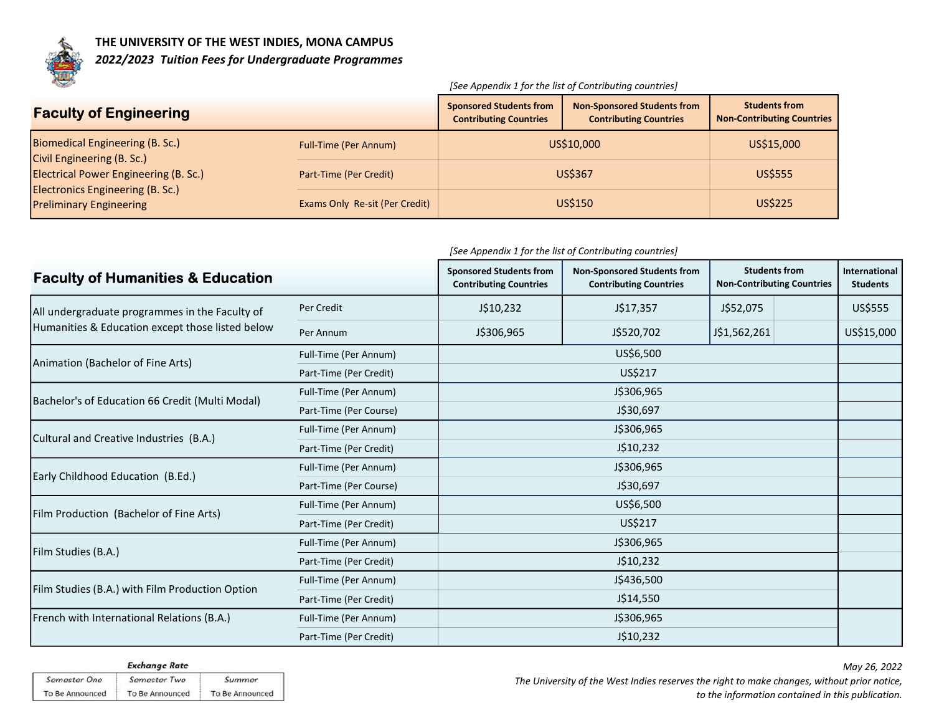

THE UNIVERSITY OF THE WEST INDIES, MONA CAMPUS 2022/2023 Tuition Fees for Undergraduate Programmes

### [See Appendix 1 for the list of Contributing countries]

| <b>Faculty of Engineering</b>                                                                               |                                | <b>Sponsored Students from</b><br><b>Contributing Countries</b> | <b>Non-Sponsored Students from</b><br><b>Contributing Countries</b> | <b>Students from</b><br><b>Non-Contributing Countries</b> |
|-------------------------------------------------------------------------------------------------------------|--------------------------------|-----------------------------------------------------------------|---------------------------------------------------------------------|-----------------------------------------------------------|
| Biomedical Engineering (B. Sc.)<br>Civil Engineering (B. Sc.)                                               | <b>Full-Time (Per Annum)</b>   | US\$10,000                                                      |                                                                     | US\$15,000                                                |
| Electrical Power Engineering (B. Sc.)<br>Electronics Engineering (B. Sc.)<br><b>Preliminary Engineering</b> | Part-Time (Per Credit)         | <b>US\$367</b>                                                  |                                                                     | <b>US\$555</b>                                            |
|                                                                                                             | Exams Only Re-sit (Per Credit) | US\$150                                                         |                                                                     | <b>US\$225</b>                                            |

#### [See Appendix 1 for the list of Contributing countries]

| <b>Faculty of Humanities &amp; Education</b>     |                        | <b>Sponsored Students from</b><br><b>Contributing Countries</b> | <b>Non-Sponsored Students from</b><br><b>Contributing Countries</b> | <b>Students from</b><br><b>Non-Contributing Countries</b> |  | International<br><b>Students</b> |
|--------------------------------------------------|------------------------|-----------------------------------------------------------------|---------------------------------------------------------------------|-----------------------------------------------------------|--|----------------------------------|
| All undergraduate programmes in the Faculty of   | Per Credit             | J\$10,232                                                       | J\$17,357                                                           | J\$52,075                                                 |  | US\$555                          |
| Humanities & Education except those listed below | Per Annum              | J\$306,965                                                      | J\$520,702                                                          | J\$1,562,261                                              |  | US\$15,000                       |
|                                                  | Full-Time (Per Annum)  | US\$6,500                                                       |                                                                     |                                                           |  |                                  |
| Animation (Bachelor of Fine Arts)                | Part-Time (Per Credit) |                                                                 | US\$217                                                             |                                                           |  |                                  |
| Bachelor's of Education 66 Credit (Multi Modal)  | Full-Time (Per Annum)  |                                                                 | J\$306,965                                                          |                                                           |  |                                  |
|                                                  | Part-Time (Per Course) | J\$30,697                                                       |                                                                     |                                                           |  |                                  |
|                                                  | Full-Time (Per Annum)  | J\$306,965                                                      |                                                                     |                                                           |  |                                  |
| Cultural and Creative Industries (B.A.)          | Part-Time (Per Credit) |                                                                 |                                                                     |                                                           |  |                                  |
| Early Childhood Education (B.Ed.)                | Full-Time (Per Annum)  | J\$306,965                                                      |                                                                     |                                                           |  |                                  |
|                                                  | Part-Time (Per Course) |                                                                 | J\$30,697                                                           |                                                           |  |                                  |
| Film Production (Bachelor of Fine Arts)          | Full-Time (Per Annum)  |                                                                 | US\$6,500                                                           |                                                           |  |                                  |
|                                                  | Part-Time (Per Credit) |                                                                 | US\$217                                                             |                                                           |  |                                  |
|                                                  | Full-Time (Per Annum)  |                                                                 | J\$306,965                                                          |                                                           |  |                                  |
| Film Studies (B.A.)                              | Part-Time (Per Credit) |                                                                 | J\$10,232                                                           |                                                           |  |                                  |
| Film Studies (B.A.) with Film Production Option  | Full-Time (Per Annum)  |                                                                 | J\$436,500                                                          |                                                           |  |                                  |
|                                                  | Part-Time (Per Credit) |                                                                 | J\$14,550                                                           |                                                           |  |                                  |
| French with International Relations (B.A.)       | Full-Time (Per Annum)  |                                                                 | J\$306,965                                                          |                                                           |  |                                  |
|                                                  | Part-Time (Per Credit) |                                                                 | J\$10,232                                                           |                                                           |  |                                  |

## **Exchange Rate**

| Semester One    | Semester Two    | Summer          |
|-----------------|-----------------|-----------------|
| To Be Announced | To Be Announced | To Be Announced |

May 26, 2022 The University of the West Indies reserves the right to make changes, without prior notice, to the information contained in this publication.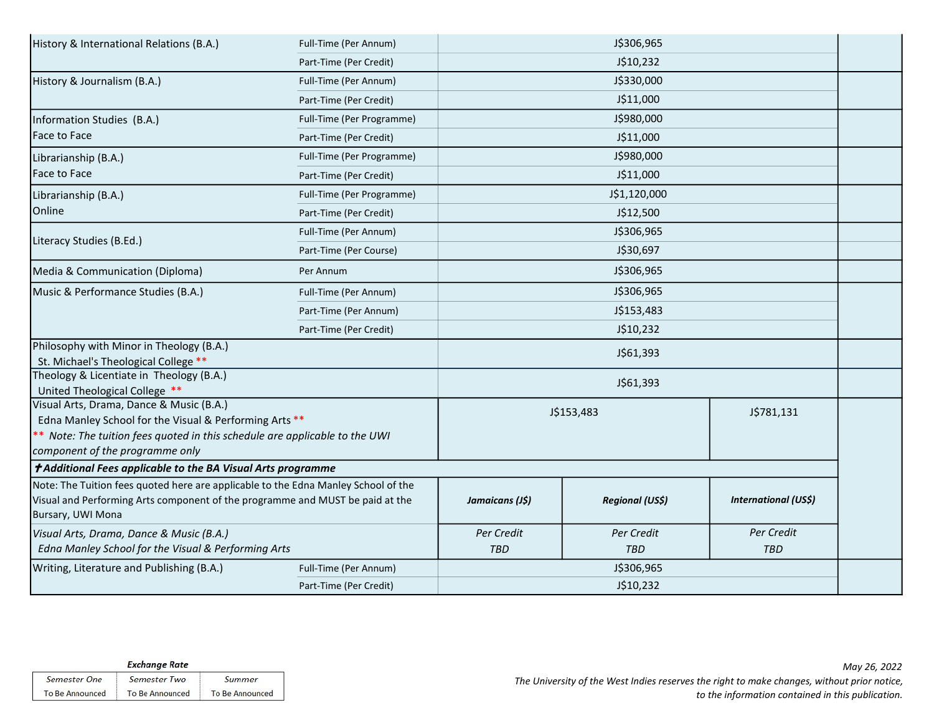| History & International Relations (B.A.)                                                                                                                                                 | Full-Time (Per Annum)     |                          | J\$306,965             |                             |  |
|------------------------------------------------------------------------------------------------------------------------------------------------------------------------------------------|---------------------------|--------------------------|------------------------|-----------------------------|--|
|                                                                                                                                                                                          | Part-Time (Per Credit)    |                          | J\$10,232              |                             |  |
| History & Journalism (B.A.)                                                                                                                                                              | Full-Time (Per Annum)     |                          | J\$330,000             |                             |  |
|                                                                                                                                                                                          | Part-Time (Per Credit)    |                          | J\$11,000              |                             |  |
| Information Studies (B.A.)                                                                                                                                                               | Full-Time (Per Programme) |                          | J\$980,000             |                             |  |
| Face to Face                                                                                                                                                                             | Part-Time (Per Credit)    |                          | J\$11,000              |                             |  |
| Librarianship (B.A.)                                                                                                                                                                     | Full-Time (Per Programme) |                          | J\$980,000             |                             |  |
| Face to Face                                                                                                                                                                             | Part-Time (Per Credit)    |                          | J\$11,000              |                             |  |
| Librarianship (B.A.)                                                                                                                                                                     | Full-Time (Per Programme) |                          | J\$1,120,000           |                             |  |
| Online                                                                                                                                                                                   | Part-Time (Per Credit)    |                          | J\$12,500              |                             |  |
|                                                                                                                                                                                          | Full-Time (Per Annum)     |                          | J\$306,965             |                             |  |
| Literacy Studies (B.Ed.)                                                                                                                                                                 | Part-Time (Per Course)    |                          | J\$30,697              |                             |  |
| Media & Communication (Diploma)                                                                                                                                                          | Per Annum                 |                          | J\$306,965             |                             |  |
| Music & Performance Studies (B.A.)                                                                                                                                                       | Full-Time (Per Annum)     | J\$306,965               |                        |                             |  |
|                                                                                                                                                                                          | Part-Time (Per Annum)     | J\$153,483               |                        |                             |  |
|                                                                                                                                                                                          | Part-Time (Per Credit)    | J\$10,232                |                        |                             |  |
| Philosophy with Minor in Theology (B.A.)<br>St. Michael's Theological College **                                                                                                         |                           |                          | J\$61,393              |                             |  |
| Theology & Licentiate in Theology (B.A.)<br>United Theological College **                                                                                                                |                           |                          | J\$61,393              |                             |  |
| Visual Arts, Drama, Dance & Music (B.A.)<br>Edna Manley School for the Visual & Performing Arts **<br>** Note: The tuition fees quoted in this schedule are applicable to the UWI        |                           | J\$153,483<br>J\$781,131 |                        |                             |  |
| component of the programme only                                                                                                                                                          |                           |                          |                        |                             |  |
| <b><i>†Additional Fees applicable to the BA Visual Arts programme</i></b>                                                                                                                |                           |                          |                        |                             |  |
| Note: The Tuition fees quoted here are applicable to the Edna Manley School of the<br>Visual and Performing Arts component of the programme and MUST be paid at the<br>Bursary, UWI Mona |                           | Jamaicans (J\$)          | <b>Regional (US\$)</b> | <b>International (US\$)</b> |  |
| Visual Arts, Drama, Dance & Music (B.A.)                                                                                                                                                 |                           | Per Credit               | Per Credit             | Per Credit                  |  |
| Edna Manley School for the Visual & Performing Arts                                                                                                                                      |                           | <b>TBD</b>               | <b>TBD</b>             | <b>TBD</b>                  |  |
| Writing, Literature and Publishing (B.A.)                                                                                                                                                | Full-Time (Per Annum)     | J\$306,965               |                        |                             |  |
|                                                                                                                                                                                          | Part-Time (Per Credit)    |                          | J\$10,232              |                             |  |

| <b>Exchange Rate</b> |                        |                 |  |  |  |
|----------------------|------------------------|-----------------|--|--|--|
| Semester One         | Semester Two           | Summer          |  |  |  |
| To Be Announced      | <b>To Be Announced</b> | To Be Announced |  |  |  |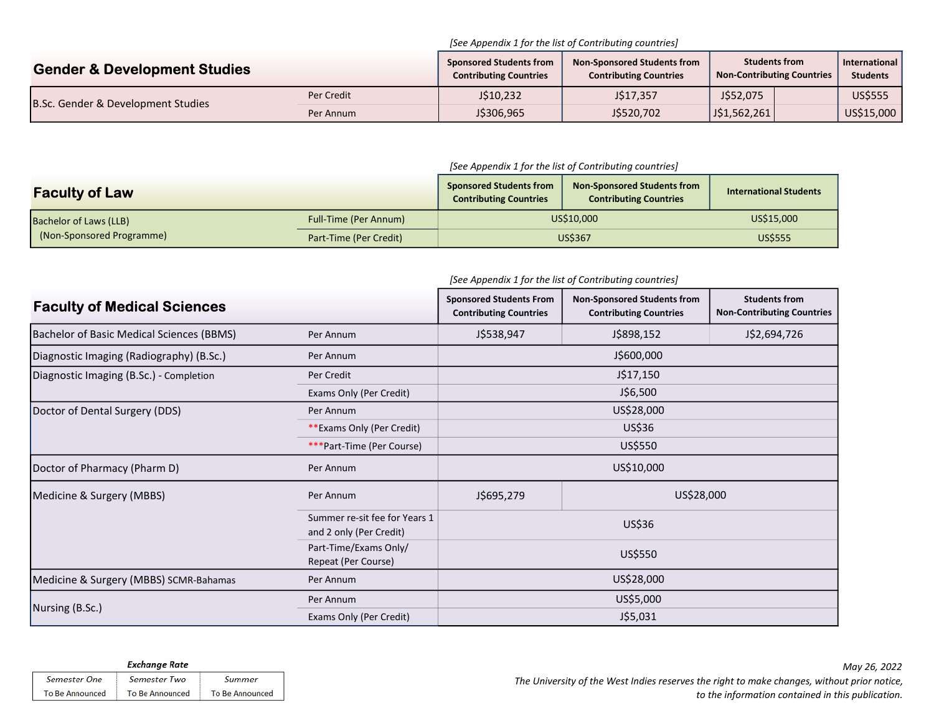#### [See Appendix 1 for the list of Contributing countries]

| <b>Gender &amp; Development Studies</b> |            | <b>Sponsored Students from</b><br><b>Contributing Countries</b> | <b>Non-Sponsored Students from</b><br><b>Contributing Countries</b> | <b>Students from</b><br><b>Non-Contributing Countries</b> | International<br><b>Students</b> |
|-----------------------------------------|------------|-----------------------------------------------------------------|---------------------------------------------------------------------|-----------------------------------------------------------|----------------------------------|
| B.Sc. Gender & Development Studies      | Per Credit | J\$10,232                                                       | J\$17,357                                                           | J\$52,075                                                 | <b>US\$555</b>                   |
|                                         | Per Annum  | J\$306,965                                                      | J\$520,702                                                          | J\$1,562,261                                              | US\$15,000                       |

#### [See Appendix 1 for the list of Contributing countries]

| <b>Faculty of Law</b>     |                              | <b>Sponsored Students from</b><br><b>Contributing Countries</b> | <b>Non-Sponsored Students from</b><br><b>Contributing Countries</b> | <b>International Students</b> |  |
|---------------------------|------------------------------|-----------------------------------------------------------------|---------------------------------------------------------------------|-------------------------------|--|
| Bachelor of Laws (LLB)    | <b>Full-Time (Per Annum)</b> | US\$10,000                                                      |                                                                     | US\$15,000                    |  |
| (Non-Sponsored Programme) | Part-Time (Per Credit)       | <b>US\$367</b>                                                  |                                                                     | <b>US\$555</b>                |  |

**Faculty of Medical Sciences** Sponsored Students From Sponsored Students From Sponsored Students From September 1 Contributing Countries Non-Sponsored Students from Contributing Countries Bachelor of Basic Medical Sciences (BBMS) Per Annum J\$538,947 J\$898,152 Diagnostic Imaging (Radiography) (B.Sc.) Per Annum Diagnostic Imaging (B.Sc.) - Completion Per Credit Exams Only (Per Credit) Doctor of Dental Surgery (DDS) Per Annum \*\*Exams Only (Per Credit) \*\*\*Part-Time (Per Course) Doctor of Pharmacy (Pharm D) Per Annum Medicine & Surgery (MBBS) Per Annum Per Annum J\$695,279 Summer re-sit fee for Years 1 and 2 only (Per Credit) Part-Time/Exams Only/ Repeat (Per Course) Medicine & Surgery (MBBS) SCMR-Bahamas Per Annum Per Annum Exams Only (Per Credit) Students from Non-Contributing Countries J\$600,000 J\$6,500 J\$2,694,726 J\$17,150 US\$28,000 US\$36 US\$550 US\$10,000 US\$28,000 US\$28,000 Nursing (B.Sc.) US\$5,000 J\$5,031 US\$550 US\$36

| [See Appendix 1 for the list of Contributing countries] |  |  |
|---------------------------------------------------------|--|--|
|                                                         |  |  |

| <b>Exchange Rate</b>   |                        |                 |  |  |  |
|------------------------|------------------------|-----------------|--|--|--|
| Semester One           | Semester Two           | Summer          |  |  |  |
| <b>To Be Announced</b> | <b>To Be Announced</b> | To Be Announced |  |  |  |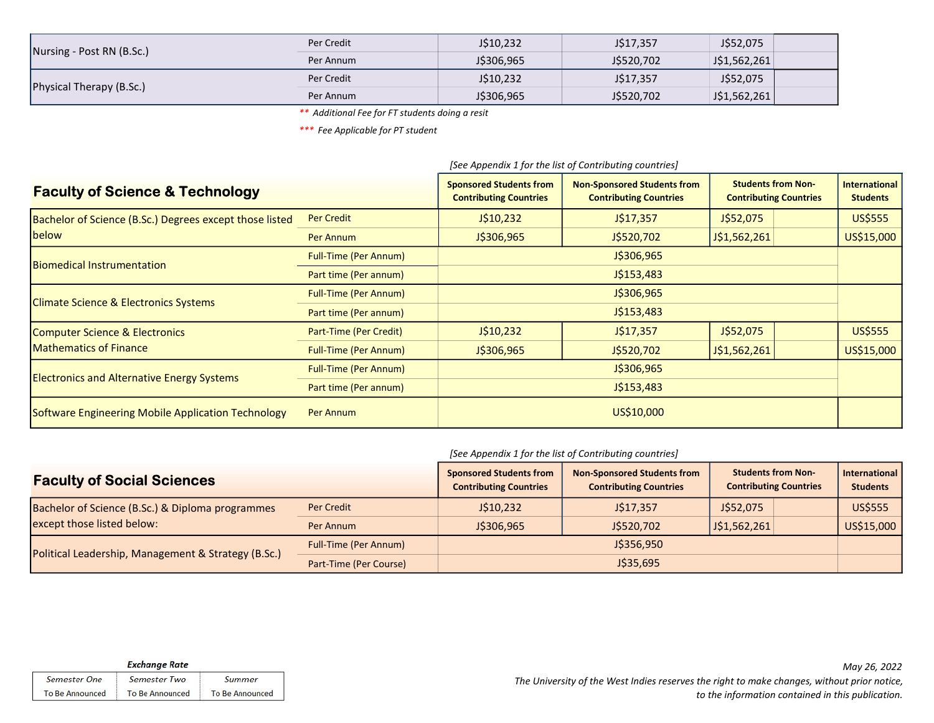| Nursing - Post RN (B.Sc.) | Per Credit | J\$10,232  | J\$17,357  | J\$52,075    |  |
|---------------------------|------------|------------|------------|--------------|--|
|                           | Per Annum  | J\$306,965 | J\$520,702 | J\$1,562,261 |  |
| Physical Therapy (B.Sc.)  | Per Credit | J\$10,232  | J\$17,357  | J\$52,075    |  |
|                           | Per Annum  | J\$306,965 | J\$520,702 | J\$1,562,261 |  |

\*\* Additional Fee for FT students doing a resit

\*\*\* Fee Applicable for PT student

|                                                         |                              | [See Appendix 1 for the list of Contributing countries]         |                                                                     |                                                            |  |                                         |
|---------------------------------------------------------|------------------------------|-----------------------------------------------------------------|---------------------------------------------------------------------|------------------------------------------------------------|--|-----------------------------------------|
| <b>Faculty of Science &amp; Technology</b>              |                              | <b>Sponsored Students from</b><br><b>Contributing Countries</b> | <b>Non-Sponsored Students from</b><br><b>Contributing Countries</b> | <b>Students from Non-</b><br><b>Contributing Countries</b> |  | <b>International</b><br><b>Students</b> |
| Bachelor of Science (B.Sc.) Degrees except those listed | <b>Per Credit</b>            | J\$10,232                                                       | J\$17,357                                                           | J\$52,075                                                  |  | <b>US\$555</b>                          |
| below                                                   | Per Annum                    | J\$306,965                                                      | J\$520,702                                                          | J\$1,562,261                                               |  | US\$15,000                              |
| <b>Biomedical Instrumentation</b>                       | Full-Time (Per Annum)        |                                                                 | J\$306,965                                                          |                                                            |  |                                         |
|                                                         | Part time (Per annum)        |                                                                 | J\$153,483                                                          |                                                            |  |                                         |
| <b>Climate Science &amp; Electronics Systems</b>        | <b>Full-Time (Per Annum)</b> | J\$306,965                                                      |                                                                     |                                                            |  |                                         |
|                                                         | Part time (Per annum)        |                                                                 | J\$153,483                                                          |                                                            |  |                                         |
| Computer Science & Electronics                          | Part-Time (Per Credit)       | J\$10,232                                                       | J\$17,357                                                           | J\$52,075                                                  |  | <b>US\$555</b>                          |
| <b>Mathematics of Finance</b>                           | <b>Full-Time (Per Annum)</b> | J\$306,965                                                      | J\$520,702                                                          | J\$1,562,261                                               |  | US\$15,000                              |
| <b>Electronics and Alternative Energy Systems</b>       | <b>Full-Time (Per Annum)</b> |                                                                 | J\$306,965                                                          |                                                            |  |                                         |
|                                                         | Part time (Per annum)        | J\$153,483                                                      |                                                                     |                                                            |  |                                         |
| Software Engineering Mobile Application Technology      | Per Annum                    | US\$10,000                                                      |                                                                     |                                                            |  |                                         |

### [See Appendix 1 for the list of Contributing countries]

| <b>Faculty of Social Sciences</b>                                              |                              | <b>Sponsored Students from</b><br><b>Contributing Countries</b> | <b>Non-Sponsored Students from</b><br><b>Contributing Countries</b> | <b>Students from Non-</b><br><b>Contributing Countries</b> |  | International<br><b>Students</b> |
|--------------------------------------------------------------------------------|------------------------------|-----------------------------------------------------------------|---------------------------------------------------------------------|------------------------------------------------------------|--|----------------------------------|
| Bachelor of Science (B.Sc.) & Diploma programmes<br>except those listed below: | Per Credit                   | J\$10,232                                                       | J\$17,357                                                           | J\$52,075                                                  |  | <b>US\$555</b>                   |
|                                                                                | Per Annum                    | J\$306,965                                                      | J\$520,702                                                          | J\$1,562,261                                               |  | US\$15,000                       |
| Political Leadership, Management & Strategy (B.Sc.)                            | <b>Full-Time (Per Annum)</b> | J\$356,950                                                      |                                                                     |                                                            |  |                                  |
|                                                                                | Part-Time (Per Course)       | J\$35,695                                                       |                                                                     |                                                            |  |                                  |

| <b>Exchange Rate</b>   |                        |                 |  |
|------------------------|------------------------|-----------------|--|
| Semester One           | Semester Two           | Summer          |  |
| <b>To Be Announced</b> | <b>To Be Announced</b> | To Be Announced |  |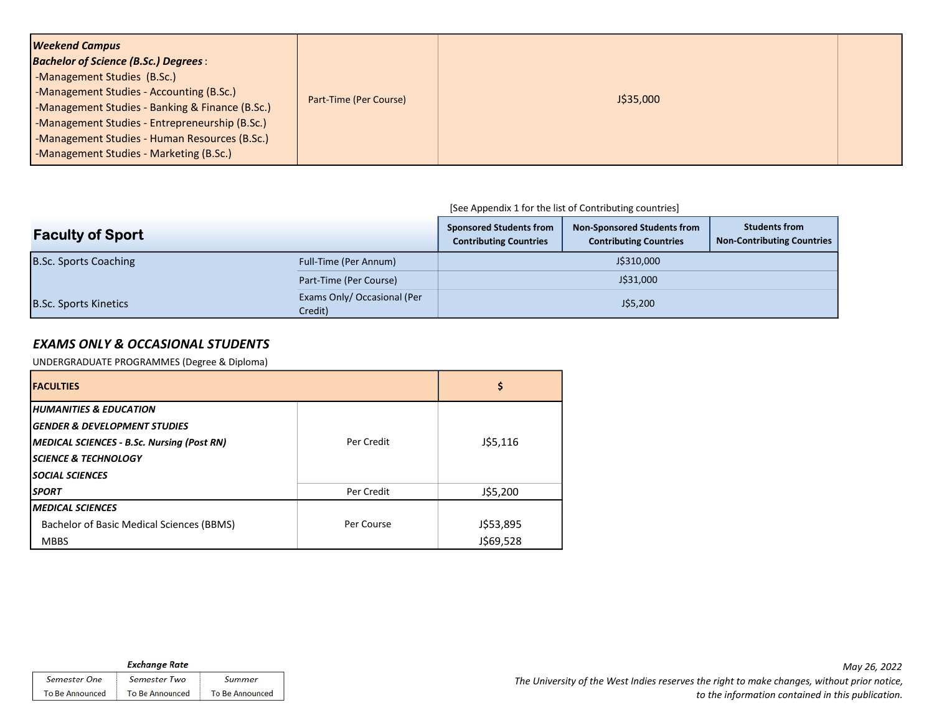| <b>Weekend Campus</b>                           |                        |           |  |
|-------------------------------------------------|------------------------|-----------|--|
| <b>Bachelor of Science (B.Sc.) Degrees:</b>     |                        |           |  |
| -Management Studies (B.Sc.)                     |                        |           |  |
| -Management Studies - Accounting (B.Sc.)        | Part-Time (Per Course) | J\$35,000 |  |
| -Management Studies - Banking & Finance (B.Sc.) |                        |           |  |
| -Management Studies - Entrepreneurship (B.Sc.)  |                        |           |  |
| -Management Studies - Human Resources (B.Sc.)   |                        |           |  |
| -Management Studies - Marketing (B.Sc.)         |                        |           |  |

#### [See Appendix 1 for the list of Contributing countries]

| <b>Faculty of Sport</b>      |                                        | <b>Sponsored Students from</b><br><b>Contributing Countries</b> | <b>Non-Sponsored Students from</b><br><b>Contributing Countries</b> | <b>Students from</b><br><b>Non-Contributing Countries</b> |
|------------------------------|----------------------------------------|-----------------------------------------------------------------|---------------------------------------------------------------------|-----------------------------------------------------------|
| B.Sc. Sports Coaching        | Full-Time (Per Annum)                  | J\$310,000                                                      |                                                                     |                                                           |
|                              | Part-Time (Per Course)                 | J\$31,000                                                       |                                                                     |                                                           |
| <b>B.Sc. Sports Kinetics</b> | Exams Only/ Occasional (Per<br>Credit) | J\$5,200                                                        |                                                                     |                                                           |

# EXAMS ONLY & OCCASIONAL STUDENTS

#### UNDERGRADUATE PROGRAMMES (Degree & Diploma)

| <b>FACULTIES</b>                           | \$         |           |
|--------------------------------------------|------------|-----------|
| <b>IHUMANITIES &amp; EDUCATION</b>         |            |           |
| GENDER & DEVELOPMENT STUDIES               |            |           |
| MEDICAL SCIENCES - B.Sc. Nursing (Post RN) | Per Credit | J\$5,116  |
| <i><b>ISCIENCE &amp; TECHNOLOGY</b></i>    |            |           |
| <i><b>SOCIAL SCIENCES</b></i>              |            |           |
| ISPORT                                     | Per Credit | J\$5,200  |
| I <i>MEDICAL SCIENCES</i>                  |            |           |
| Bachelor of Basic Medical Sciences (BBMS)  | Per Course | J\$53,895 |
| <b>MBBS</b>                                |            | J\$69,528 |

| <b>Exchange Rate</b> |                        |                 |
|----------------------|------------------------|-----------------|
| Semester One         | Semester Two           | Summer          |
| To Be Announced      | <b>To Be Announced</b> | To Be Announced |